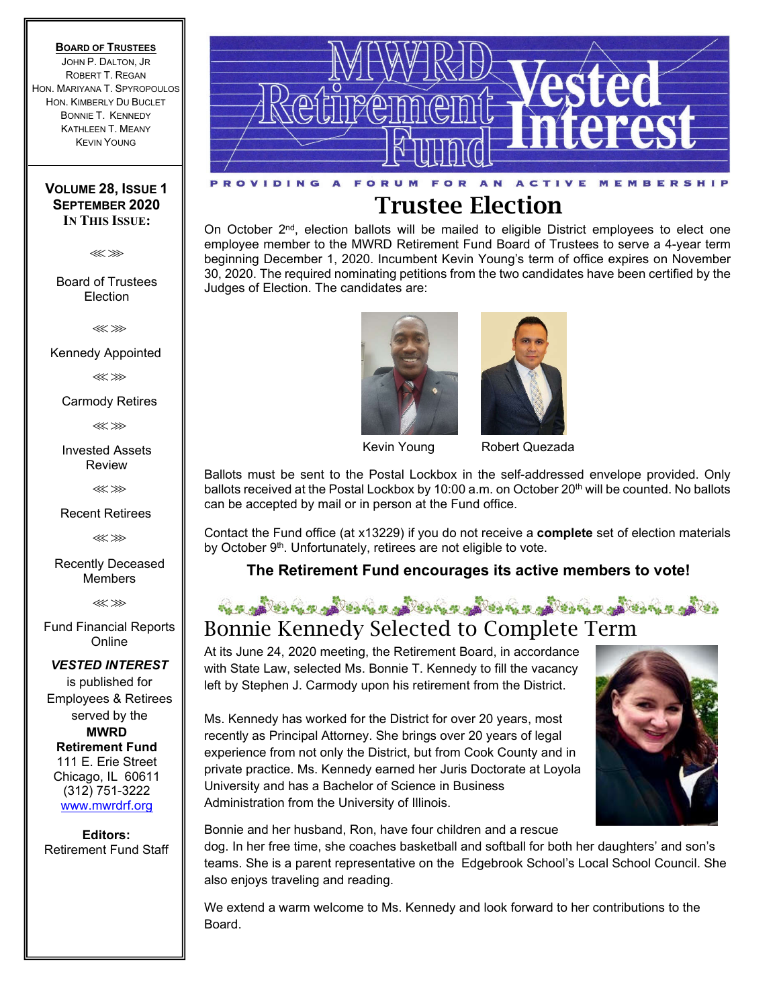### **BOARD OF TRUSTEES**

JOHN P. DALTON, JR ROBERT T. REGAN HON. MARIYANA T. SPYROPOULOS HON. KIMBERLY DU BUCLET BONNIE T. KENNEDY KATHLEEN T. MEANY KEVIN YOUNG

### **VOLUME 28, ISSUE 1 SEPTEMBER 2020 IN THIS ISSUE:**

⋘⋙

Board of Trustees **Election** 

⋘⋙

Kennedy Appointed

⋘⋙

Carmody Retires

⋘⋙

Invested Assets Review

⋘⋙

Recent Retirees

⋘⋙

Recently Deceased Members

⋘⋙

Fund Financial Reports Online

### *VESTED INTEREST*

is published for Employees & Retirees served by the **MWRD Retirement Fund** 111 E. Erie Street Chicago, IL 60611 (312) 751-3222 www.mwrdrf.org

**Editors:**  Retirement Fund Staff



# **Trustee Election**

On October 2<sup>nd</sup>, election ballots will be mailed to eligible District employees to elect one employee member to the MWRD Retirement Fund Board of Trustees to serve a 4-year term beginning December 1, 2020. Incumbent Kevin Young's term of office expires on November 30, 2020. The required nominating petitions from the two candidates have been certified by the Judges of Election. The candidates are:





Kevin Young Robert Quezada

Ballots must be sent to the Postal Lockbox in the self-addressed envelope provided. Only ballots received at the Postal Lockbox by 10:00 a.m. on October 20<sup>th</sup> will be counted. No ballots can be accepted by mail or in person at the Fund office.

Contact the Fund office (at x13229) if you do not receive a **complete** set of election materials by October 9<sup>th</sup>. Unfortunately, retirees are not eligible to vote.

**The Retirement Fund encourages its active members to vote!**

## <u>is a more of the color of the color of the color of the color of the color of the color of the color of the color of the color of the color of the color of the color of the color of the color of the color of the color of </u> Bonnie Kennedy Selected to Complete Term

At its June 24, 2020 meeting, the Retirement Board, in accordance with State Law, selected Ms. Bonnie T. Kennedy to fill the vacancy left by Stephen J. Carmody upon his retirement from the District.

Ms. Kennedy has worked for the District for over 20 years, most recently as Principal Attorney. She brings over 20 years of legal experience from not only the District, but from Cook County and in private practice. Ms. Kennedy earned her Juris Doctorate at Loyola University and has a Bachelor of Science in Business Administration from the University of Illinois.



Bonnie and her husband, Ron, have four children and a rescue

dog. In her free time, she coaches basketball and softball for both her daughters' and son's teams. She is a parent representative on the Edgebrook School's Local School Council. She also enjoys traveling and reading.

We extend a warm welcome to Ms. Kennedy and look forward to her contributions to the Board.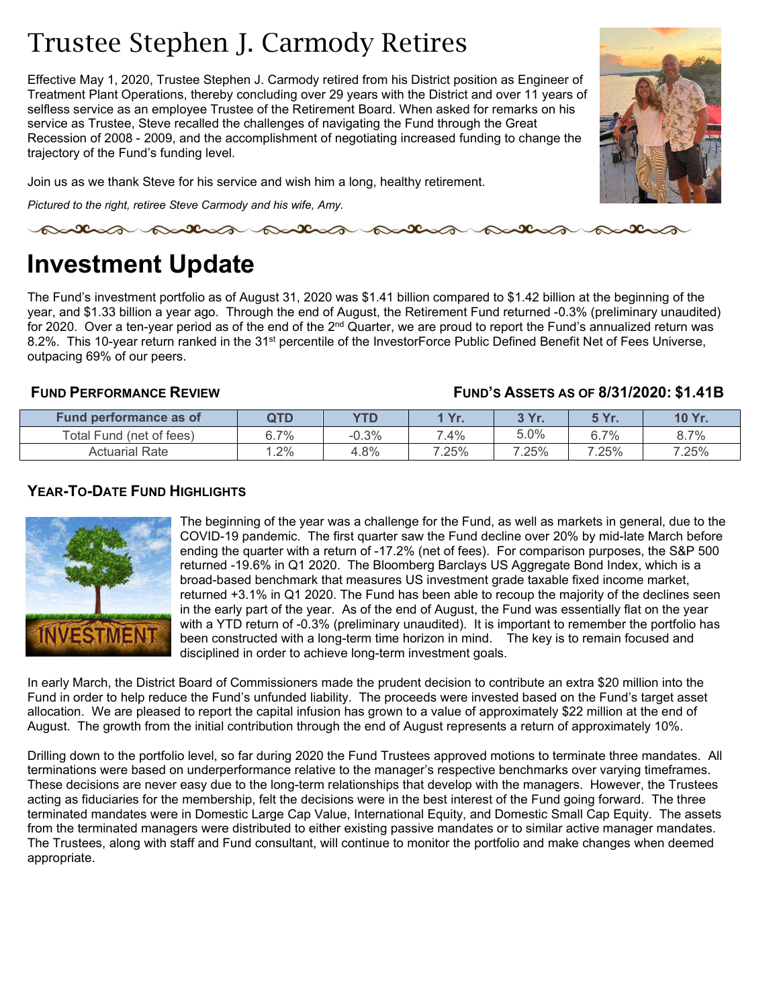# Trustee Stephen J. Carmody Retires

Effective May 1, 2020, Trustee Stephen J. Carmody retired from his District position as Engineer of Treatment Plant Operations, thereby concluding over 29 years with the District and over 11 years of selfless service as an employee Trustee of the Retirement Board. When asked for remarks on his service as Trustee, Steve recalled the challenges of navigating the Fund through the Great Recession of 2008 - 2009, and the accomplishment of negotiating increased funding to change the trajectory of the Fund's funding level.



Join us as we thank Steve for his service and wish him a long, healthy retirement.

*Pictured to the right, retiree Steve Carmody and his wife, Amy.*

partir patron patro

# **Investment Update**

The Fund's investment portfolio as of August 31, 2020 was \$1.41 billion compared to \$1.42 billion at the beginning of the year, and \$1.33 billion a year ago. Through the end of August, the Retirement Fund returned -0.3% (preliminary unaudited) for 2020. Over a ten-year period as of the end of the 2<sup>nd</sup> Quarter, we are proud to report the Fund's annualized return was 8.2%. This 10-year return ranked in the 31<sup>st</sup> percentile of the InvestorForce Public Defined Benefit Net of Fees Universe, outpacing 69% of our peers.

## **FUND PERFORMANCE REVIEW FUND'S ASSETS AS OF 8/31/2020: \$1.41B**

| <b>Fund performance as of</b> | QTD    | <b>YTD</b> | <b>Vr</b><br>. . | 2V <sub>u</sub><br>. | E Vr<br>. . | <b>10 Yr</b><br>. . |
|-------------------------------|--------|------------|------------------|----------------------|-------------|---------------------|
| Total Fund (net of fees)      | 6.7%   | $-0.3%$    | 7.4%             | 5.0%                 | $5.7\%$     | 8.7%                |
| Actuarial Rate                | $.2\%$ | 4.8%       | 7.25%            | 7.25%                | 7.25%       | 7.25%               |

## **YEAR-TO-DATE FUND HIGHLIGHTS**



The beginning of the year was a challenge for the Fund, as well as markets in general, due to the COVID-19 pandemic. The first quarter saw the Fund decline over 20% by mid-late March before ending the quarter with a return of -17.2% (net of fees). For comparison purposes, the S&P 500 returned -19.6% in Q1 2020. The Bloomberg Barclays US Aggregate Bond Index, which is a broad-based benchmark that measures US investment grade taxable fixed income market, returned +3.1% in Q1 2020. The Fund has been able to recoup the majority of the declines seen in the early part of the year. As of the end of August, the Fund was essentially flat on the year with a YTD return of -0.3% (preliminary unaudited). It is important to remember the portfolio has been constructed with a long-term time horizon in mind. The key is to remain focused and disciplined in order to achieve long-term investment goals.

In early March, the District Board of Commissioners made the prudent decision to contribute an extra \$20 million into the Fund in order to help reduce the Fund's unfunded liability. The proceeds were invested based on the Fund's target asset allocation. We are pleased to report the capital infusion has grown to a value of approximately \$22 million at the end of August. The growth from the initial contribution through the end of August represents a return of approximately 10%.

Drilling down to the portfolio level, so far during 2020 the Fund Trustees approved motions to terminate three mandates. All terminations were based on underperformance relative to the manager's respective benchmarks over varying timeframes. These decisions are never easy due to the long-term relationships that develop with the managers. However, the Trustees acting as fiduciaries for the membership, felt the decisions were in the best interest of the Fund going forward. The three terminated mandates were in Domestic Large Cap Value, International Equity, and Domestic Small Cap Equity. The assets from the terminated managers were distributed to either existing passive mandates or to similar active manager mandates. The Trustees, along with staff and Fund consultant, will continue to monitor the portfolio and make changes when deemed appropriate.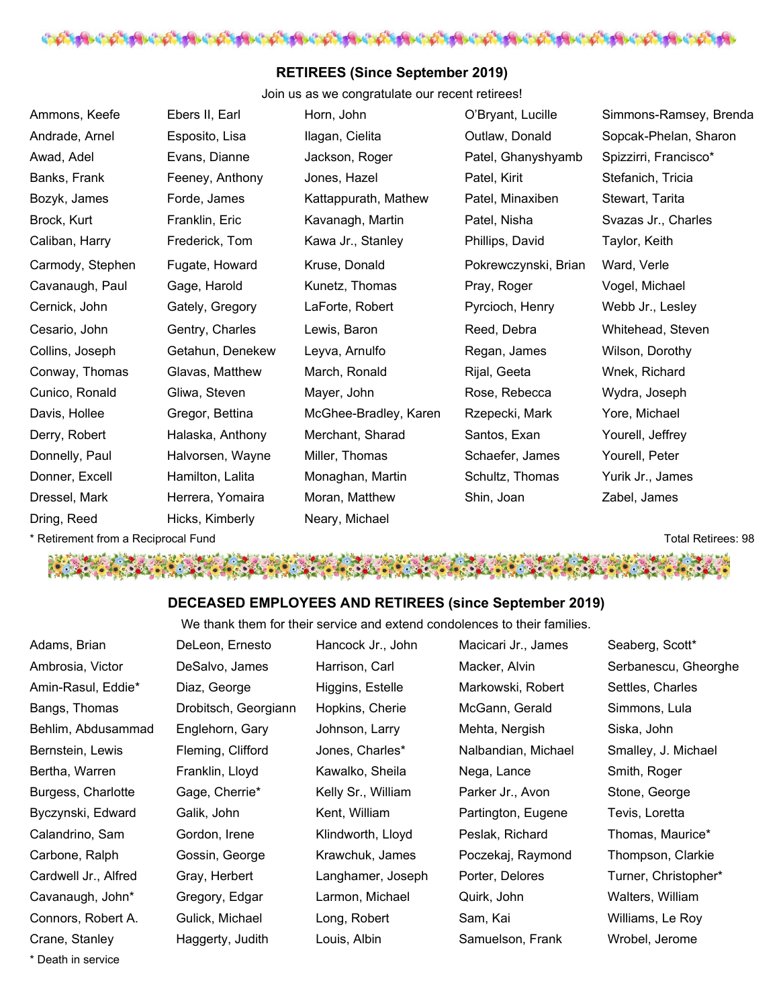

## **RETIREES (Since September 2019)**

Join us as we congratulate our recent retirees!

| Ammons, Keefe                       | Ebers II, Earl   | Horn, John            | O'Bryant, Lucille    | Simmons-Ramsey, Brenda    |
|-------------------------------------|------------------|-----------------------|----------------------|---------------------------|
| Andrade, Arnel                      | Esposito, Lisa   | Ilagan, Cielita       | Outlaw, Donald       | Sopcak-Phelan, Sharon     |
| Awad, Adel                          | Evans, Dianne    | Jackson, Roger        | Patel, Ghanyshyamb   | Spizzirri, Francisco*     |
| Banks, Frank                        | Feeney, Anthony  | Jones, Hazel          | Patel, Kirit         | Stefanich, Tricia         |
| Bozyk, James                        | Forde, James     | Kattappurath, Mathew  | Patel, Minaxiben     | Stewart, Tarita           |
| Brock, Kurt                         | Franklin, Eric   | Kavanagh, Martin      | Patel, Nisha         | Svazas Jr., Charles       |
| Caliban, Harry                      | Frederick, Tom   | Kawa Jr., Stanley     | Phillips, David      | Taylor, Keith             |
| Carmody, Stephen                    | Fugate, Howard   | Kruse, Donald         | Pokrewczynski, Brian | Ward, Verle               |
| Cavanaugh, Paul                     | Gage, Harold     | Kunetz, Thomas        | Pray, Roger          | Vogel, Michael            |
| Cernick, John                       | Gately, Gregory  | LaForte, Robert       | Pyrcioch, Henry      | Webb Jr., Lesley          |
| Cesario, John                       | Gentry, Charles  | Lewis, Baron          | Reed, Debra          | Whitehead, Steven         |
| Collins, Joseph                     | Getahun, Denekew | Leyva, Arnulfo        | Regan, James         | Wilson, Dorothy           |
| Conway, Thomas                      | Glavas, Matthew  | March, Ronald         | Rijal, Geeta         | Wnek, Richard             |
| Cunico, Ronald                      | Gliwa, Steven    | Mayer, John           | Rose, Rebecca        | Wydra, Joseph             |
| Davis, Hollee                       | Gregor, Bettina  | McGhee-Bradley, Karen | Rzepecki, Mark       | Yore, Michael             |
| Derry, Robert                       | Halaska, Anthony | Merchant, Sharad      | Santos, Exan         | Yourell, Jeffrey          |
| Donnelly, Paul                      | Halvorsen, Wayne | Miller, Thomas        | Schaefer, James      | Yourell, Peter            |
| Donner, Excell                      | Hamilton, Lalita | Monaghan, Martin      | Schultz, Thomas      | Yurik Jr., James          |
| Dressel, Mark                       | Herrera, Yomaira | Moran, Matthew        | Shin, Joan           | Zabel, James              |
| Dring, Reed                         | Hicks, Kimberly  | Neary, Michael        |                      |                           |
| * Retirement from a Reciprocal Fund |                  |                       |                      | <b>Total Retirees: 98</b> |

 $\mathbf{y}$ 

بجوانا

**CALL AND STREET** 

## **DECEASED EMPLOYEES AND RETIREES (since September 2019)**

We thank them for their service and extend condolences to their families.

| Adams, Brian         | DeLeon, Ernesto      | Hancock Jr., John  | Macicari Jr., James | Seaberg, Scott*      |
|----------------------|----------------------|--------------------|---------------------|----------------------|
| Ambrosia, Victor     | DeSalvo, James       | Harrison, Carl     | Macker, Alvin       | Serbanescu, Gheorghe |
| Amin-Rasul, Eddie*   | Diaz, George         | Higgins, Estelle   | Markowski, Robert   | Settles, Charles     |
| Bangs, Thomas        | Drobitsch, Georgiann | Hopkins, Cherie    | McGann, Gerald      | Simmons, Lula        |
| Behlim, Abdusammad   | Englehorn, Gary      | Johnson, Larry     | Mehta, Nergish      | Siska, John          |
| Bernstein, Lewis     | Fleming, Clifford    | Jones, Charles*    | Nalbandian, Michael | Smalley, J. Michael  |
| Bertha, Warren       | Franklin, Lloyd      | Kawalko, Sheila    | Nega, Lance         | Smith, Roger         |
| Burgess, Charlotte   | Gage, Cherrie*       | Kelly Sr., William | Parker Jr., Avon    | Stone, George        |
| Byczynski, Edward    | Galik, John          | Kent, William      | Partington, Eugene  | Tevis, Loretta       |
| Calandrino, Sam      | Gordon, Irene        | Klindworth, Lloyd  | Peslak, Richard     | Thomas, Maurice*     |
| Carbone, Ralph       | Gossin, George       | Krawchuk, James    | Poczekaj, Raymond   | Thompson, Clarkie    |
| Cardwell Jr., Alfred | Gray, Herbert        | Langhamer, Joseph  | Porter, Delores     | Turner, Christopher* |
| Cavanaugh, John*     | Gregory, Edgar       | Larmon, Michael    | Quirk, John         | Walters, William     |
| Connors, Robert A.   | Gulick, Michael      | Long, Robert       | Sam, Kai            | Williams, Le Roy     |
| Crane, Stanley       | Haggerty, Judith     | Louis, Albin       | Samuelson, Frank    | Wrobel, Jerome       |
| * Death in service   |                      |                    |                     |                      |